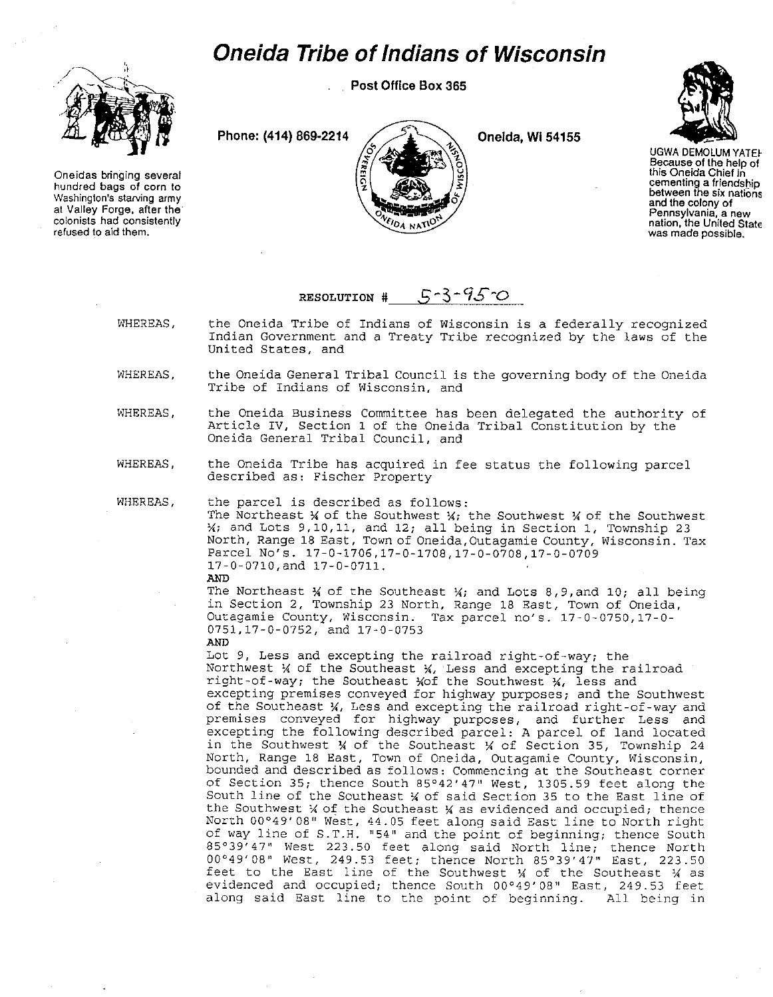## *Oneida Tribe of Indians of Wisconsin*

**Post Office Box 365** 

 $\frac{1}{2}$  .  $\mathbf{r}$ 

**Oneidas bringing several hundred bags of corn to Washington's starving army at Valley Forge. after the colonists had consistently**  refused to aid them.





UGWA DEMOLUM YATEI-**Because of the help of this Oneida Chief in cementing a friendsbip between fhe six nations and the colony of Pennsylvania, a new nation, the United State was made possible.** 

## RESOLUTION  $#$   $\qquad$  5 - 3 - 95  $\circ$

- WHEREAS, the Oneida Tribe of Indians of wisconsin is a federally recognized Indian Government and a Treaty Tribe recognized by the laws of the United States, and
- WHEREAS, the Oneida General Tribal Council is the governing body of the Oneida **Tribe of Indians of Wisconsin, and**
- WHEREAS, the Oneida Business Committee has been delegated the authority of Article IV, Section 1 of the Oneida Tribal Constitution by the Oneida General Tribal Council, and
- WHEREAS, the Oneida Tribe has acquired in fee status the following parcel described as: Fischer Property

WHEREAS,

the parcel is described as follows: The Northeast  $\frac{1}{2}$  of the Southwest  $\frac{1}{2}$ ; the Southwest  $\frac{1}{2}$  of the Southwest  $\frac{1}{2}$  and Lots 9,10,11, and 12; all being in Section 1, Township 23 **North, Range 18 East, Town of Oneida,Outagamie County, Wisconsin. Tax**  Parcel No's. 17-0-1706,17-0-1708,17-0-0708,17-0-0709 17-0-0710,and 17-0-0711. AND

The Northeast  $%$  of the Southeast  $%$ , and Lots 8,9,and 10; all being in Section 2, Township 23 North, Range 18 East, Town of Oneida, Outagamie County, Wisconsin. Tax parcel no's. 17-0-0750,17-0- 0751,17-0-0752, and 17-0-0753

AND Lot 9, Less and excepting the railroad right-of-way, the Northwest  $%$  of the Southeast  $%$ , Less and excepting the railroad right-of-way; the Southeast  $%$  and  $\mathcal{L}$  for the Southwest  $\mathcal{U}$ , less and **excepting premises conveyed for highway purposes; and the Southwest**  of the Southeast %, Less and excepting the railroad right-of-way and **premises conveyed for highway purposes, and further Less and**  excepting the following described parcel: A parcel of land located in the Southwest % of the Southeast % of Section 35, Township 24 **North, Range 18 East, Town of Oneida, Outagamie County, Wisconsin,**  bounded and described as follows: Commencing at the Southeast corner of Section 35; thence South 85°42'47" West, 1305.59 feet along the South line of the Southeast *\** of said Section 35 to the East line of the Southwest *X* of the Southeast *X* as evidenced and occupied; thence North 00°49'08" West, 44.05 feet along said East line to North right **of way line of S.T.H. 115411 and the point of beginning; thence South**  85° 39' 47" West 223.50 feet along said North line; thence North 00°49'08" West, 249.53 feet, thence North 85°39'47" East, 223.50 feet to the East line of the Southwest  $\frac{1}{4}$  of the Southeast  $\frac{1}{4}$  as evidenced and occupied, thence South 00°49' 08" East, 249.53 feet along said East line to the point of beginning. All being in